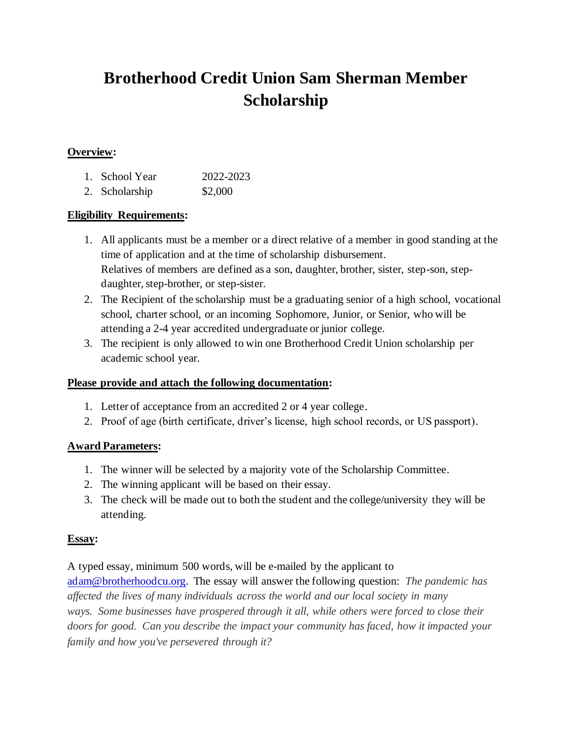# **Brotherhood Credit Union Sam Sherman Member Scholarship**

#### **Overview:**

| 1. School Year | 2022-2023 |
|----------------|-----------|
|                |           |

2. Scholarship \$2,000

### **Eligibility Requirements:**

- 1. All applicants must be a member or a direct relative of a member in good standing at the time of application and at the time of scholarship disbursement. Relatives of members are defined as a son, daughter, brother, sister, step-son, stepdaughter, step-brother, or step-sister.
- 2. The Recipient of the scholarship must be a graduating senior of a high school, vocational school, charter school, or an incoming Sophomore, Junior, or Senior, who will be attending a 2-4 year accredited undergraduate or junior college.
- 3. The recipient is only allowed to win one Brotherhood Credit Union scholarship per academic school year.

#### **Please provide and attach the following documentation:**

- 1. Letter of acceptance from an accredited 2 or 4 year college.
- 2. Proof of age (birth certificate, driver's license, high school records, or US passport).

## **Award Parameters:**

- 1. The winner will be selected by a majority vote of the Scholarship Committee.
- 2. The winning applicant will be based on their essay.
- 3. The check will be made out to both the student and the college/university they will be attending.

#### **Essay:**

A typed essay, minimum 500 words, will be e-mailed by the applicant to

adam@brotherhoodcu.org. The essay will answer the following question: *The pandemic has affected the lives of many individuals across the world and our local society in many ways. Some businesses have prospered through it all, while others were forced to close their doors for good. Can you describe the impact your community has faced, how it impacted your family and how you've persevered through it?*